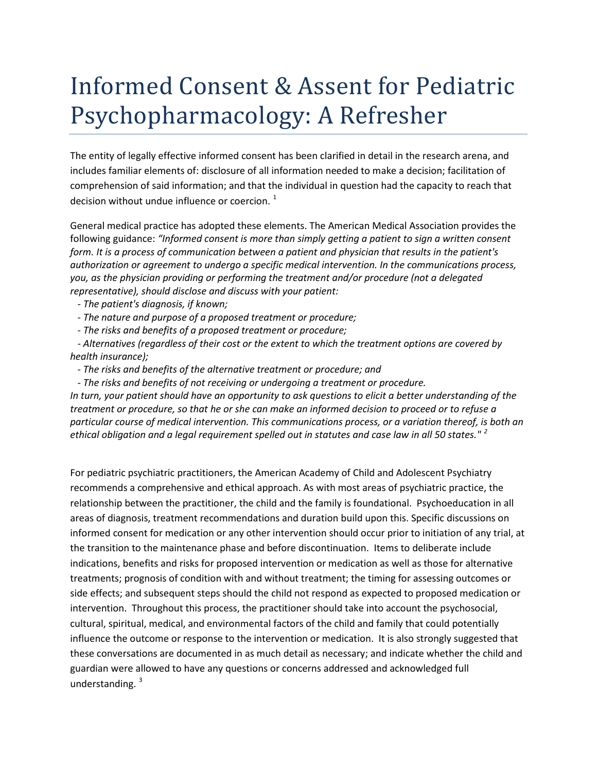## Informed Consent & Assent for Pediatric Psychopharmacology: A Refresher

The entity of legally effective informed consent has been clarified in detail in the research arena, and includes familiar elements of: disclosure of all information needed to make a decision; facilitation of comprehension of said information; and that the individual in question had the capacity to reach that decision without undue influence or coercion.  $1$ 

General medical practice has adopted these elements. The American Medical Association provides the following guidance: *"Informed consent is more than simply getting a patient to sign a written consent form. It is a process of communication between a patient and physician that results in the patient's authorization or agreement to undergo a specific medical intervention. In the communications process, you, as the physician providing or performing the treatment and/or procedure (not a delegated representative), should disclose and discuss with your patient:*

 *- The patient's diagnosis, if known;*

 *- The nature and purpose of a proposed treatment or procedure;*

 *- The risks and benefits of a proposed treatment or procedure;*

 *- Alternatives (regardless of their cost or the extent to which the treatment options are covered by health insurance);*

 *- The risks and benefits of the alternative treatment or procedure; and*

 *- The risks and benefits of not receiving or undergoing a treatment or procedure.* 

*In turn, your patient should have an opportunity to ask questions to elicit a better understanding of the treatment or procedure, so that he or she can make an informed decision to proceed or to refuse a particular course of medical intervention. This communications process, or a variation thereof, is both an ethical obligation and a legal requirement spelled out in statutes and case law in all 50 states." [2](#page-1-1)*

For pediatric psychiatric practitioners, the American Academy of Child and Adolescent Psychiatry recommends a comprehensive and ethical approach. As with most areas of psychiatric practice, the relationship between the practitioner, the child and the family is foundational. Psychoeducation in all areas of diagnosis, treatment recommendations and duration build upon this. Specific discussions on informed consent for medication or any other intervention should occur prior to initiation of any trial, at the transition to the maintenance phase and before discontinuation. Items to deliberate include indications, benefits and risks for proposed intervention or medication as well as those for alternative treatments; prognosis of condition with and without treatment; the timing for assessing outcomes or side effects; and subsequent steps should the child not respond as expected to proposed medication or intervention. Throughout this process, the practitioner should take into account the psychosocial, cultural, spiritual, medical, and environmental factors of the child and family that could potentially influence the outcome or response to the intervention or medication. It is also strongly suggested that these conversations are documented in as much detail as necessary; and indicate whether the child and guardian were allowed to have any questions or concerns addressed and acknowledged full understanding.<sup>[3](#page-1-2)</sup>